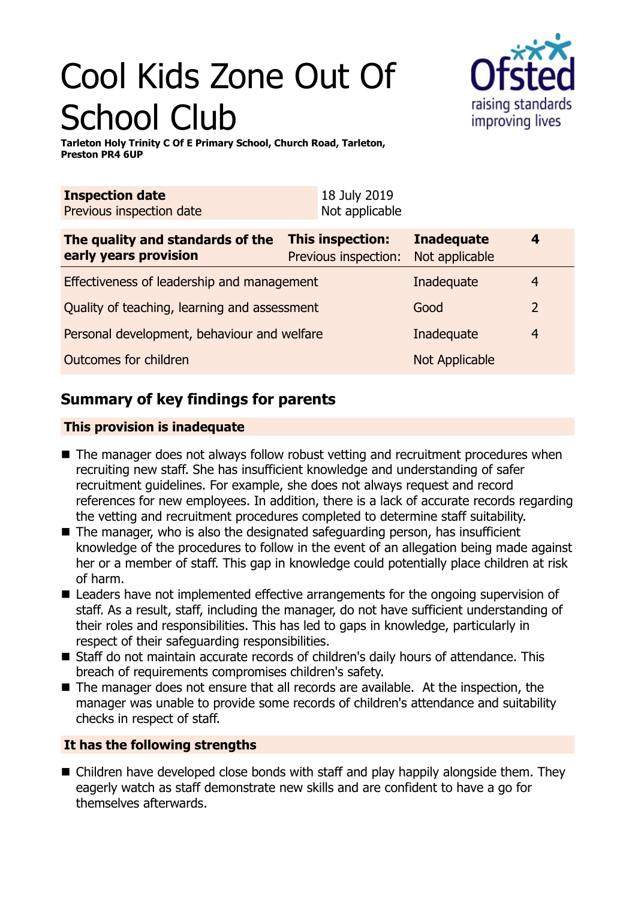# Cool Kids Zone Out Of School Club



**Tarleton Holy Trinity C Of E Primary School, Church Road, Tarleton, Preston PR4 6UP**

| 18 July 2019<br>Not applicable                  |                                     |                                  |
|-------------------------------------------------|-------------------------------------|----------------------------------|
| <b>This inspection:</b><br>Previous inspection: | <b>Inadequate</b><br>Not applicable | 4                                |
| Effectiveness of leadership and management      |                                     | 4                                |
| Quality of teaching, learning and assessment    |                                     | $\overline{2}$                   |
| Personal development, behaviour and welfare     |                                     | 4                                |
|                                                 | <b>Not Applicable</b>               |                                  |
|                                                 |                                     | Inadequate<br>Good<br>Inadequate |

# **Summary of key findings for parents**

### **This provision is inadequate**

- $\blacksquare$  The manager does not always follow robust vetting and recruitment procedures when recruiting new staff. She has insufficient knowledge and understanding of safer recruitment guidelines. For example, she does not always request and record references for new employees. In addition, there is a lack of accurate records regarding the vetting and recruitment procedures completed to determine staff suitability.
- $\blacksquare$  The manager, who is also the designated safeguarding person, has insufficient knowledge of the procedures to follow in the event of an allegation being made against her or a member of staff. This gap in knowledge could potentially place children at risk of harm.
- $\blacksquare$  Leaders have not implemented effective arrangements for the ongoing supervision of staff. As a result, staff, including the manager, do not have sufficient understanding of their roles and responsibilities. This has led to gaps in knowledge, particularly in respect of their safeguarding responsibilities.
- Staff do not maintain accurate records of children's daily hours of attendance. This breach of requirements compromises children's safety.
- $\blacksquare$  The manager does not ensure that all records are available. At the inspection, the manager was unable to provide some records of children's attendance and suitability checks in respect of staff.

## **It has the following strengths**

 $\blacksquare$  Children have developed close bonds with staff and play happily alongside them. They eagerly watch as staff demonstrate new skills and are confident to have a go for themselves afterwards.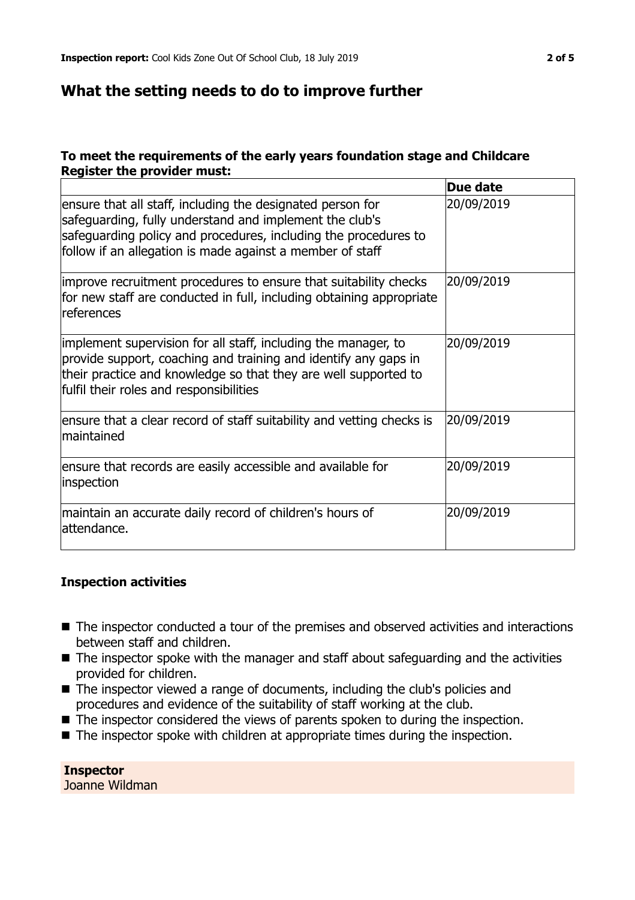## **What the setting needs to do to improve further**

#### **To meet the requirements of the early years foundation stage and Childcare Register the provider must:**

|                                                                                                                                                                                                                                                       | Due date   |
|-------------------------------------------------------------------------------------------------------------------------------------------------------------------------------------------------------------------------------------------------------|------------|
| ensure that all staff, including the designated person for<br>safeguarding, fully understand and implement the club's<br>safeguarding policy and procedures, including the procedures to<br>follow if an allegation is made against a member of staff | 20/09/2019 |
| improve recruitment procedures to ensure that suitability checks<br>for new staff are conducted in full, including obtaining appropriate<br>references                                                                                                | 20/09/2019 |
| implement supervision for all staff, including the manager, to<br>provide support, coaching and training and identify any gaps in<br>their practice and knowledge so that they are well supported to<br>fulfil their roles and responsibilities       | 20/09/2019 |
| ensure that a clear record of staff suitability and vetting checks is<br>maintained                                                                                                                                                                   | 20/09/2019 |
| ensure that records are easily accessible and available for<br>inspection                                                                                                                                                                             | 20/09/2019 |
| maintain an accurate daily record of children's hours of<br>lattendance.                                                                                                                                                                              | 20/09/2019 |

#### **Inspection activities**

- The inspector conducted a tour of the premises and observed activities and interactions between staff and children.
- $\blacksquare$  The inspector spoke with the manager and staff about safeguarding and the activities provided for children.
- The inspector viewed a range of documents, including the club's policies and procedures and evidence of the suitability of staff working at the club.
- $\blacksquare$  The inspector considered the views of parents spoken to during the inspection.
- $\blacksquare$  The inspector spoke with children at appropriate times during the inspection.

**Inspector** Joanne Wildman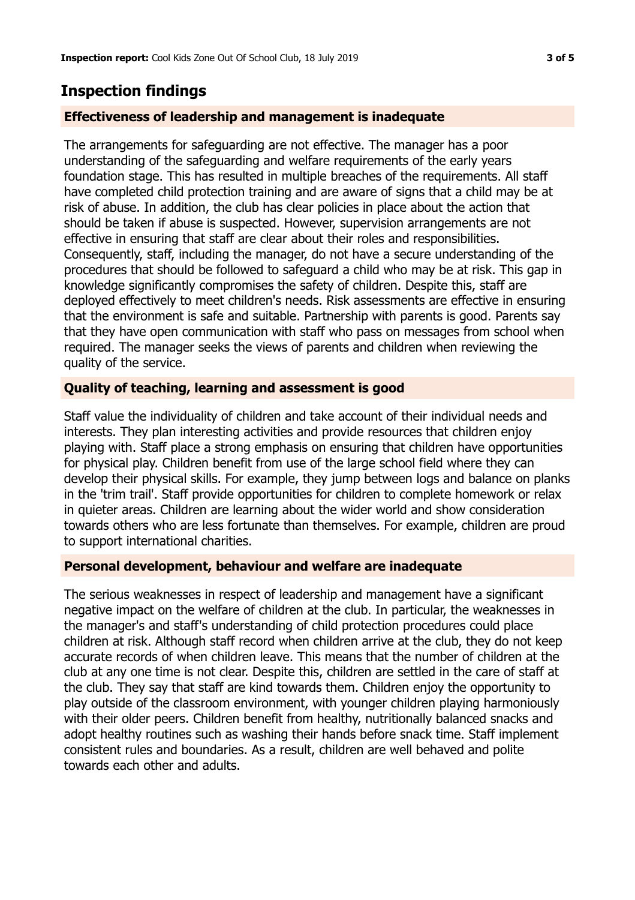# **Inspection findings**

#### **Effectiveness of leadership and management is inadequate**

The arrangements for safeguarding are not effective. The manager has a poor understanding of the safeguarding and welfare requirements of the early years foundation stage. This has resulted in multiple breaches of the requirements. All staff have completed child protection training and are aware of signs that a child may be at risk of abuse. In addition, the club has clear policies in place about the action that should be taken if abuse is suspected. However, supervision arrangements are not effective in ensuring that staff are clear about their roles and responsibilities. Consequently, staff, including the manager, do not have a secure understanding of the procedures that should be followed to safeguard a child who may be at risk. This gap in knowledge significantly compromises the safety of children. Despite this, staff are deployed effectively to meet children's needs. Risk assessments are effective in ensuring that the environment is safe and suitable. Partnership with parents is good. Parents say that they have open communication with staff who pass on messages from school when required. The manager seeks the views of parents and children when reviewing the quality of the service.

#### **Quality of teaching, learning and assessment is good**

Staff value the individuality of children and take account of their individual needs and interests. They plan interesting activities and provide resources that children enjoy playing with. Staff place a strong emphasis on ensuring that children have opportunities for physical play. Children benefit from use of the large school field where they can develop their physical skills. For example, they jump between logs and balance on planks in the 'trim trail'. Staff provide opportunities for children to complete homework or relax in quieter areas. Children are learning about the wider world and show consideration towards others who are less fortunate than themselves. For example, children are proud to support international charities.

#### **Personal development, behaviour and welfare are inadequate**

The serious weaknesses in respect of leadership and management have a significant negative impact on the welfare of children at the club. In particular, the weaknesses in the manager's and staff's understanding of child protection procedures could place children at risk. Although staff record when children arrive at the club, they do not keep accurate records of when children leave. This means that the number of children at the club at any one time is not clear. Despite this, children are settled in the care of staff at the club. They say that staff are kind towards them. Children enjoy the opportunity to play outside of the classroom environment, with younger children playing harmoniously with their older peers. Children benefit from healthy, nutritionally balanced snacks and adopt healthy routines such as washing their hands before snack time. Staff implement consistent rules and boundaries. As a result, children are well behaved and polite towards each other and adults.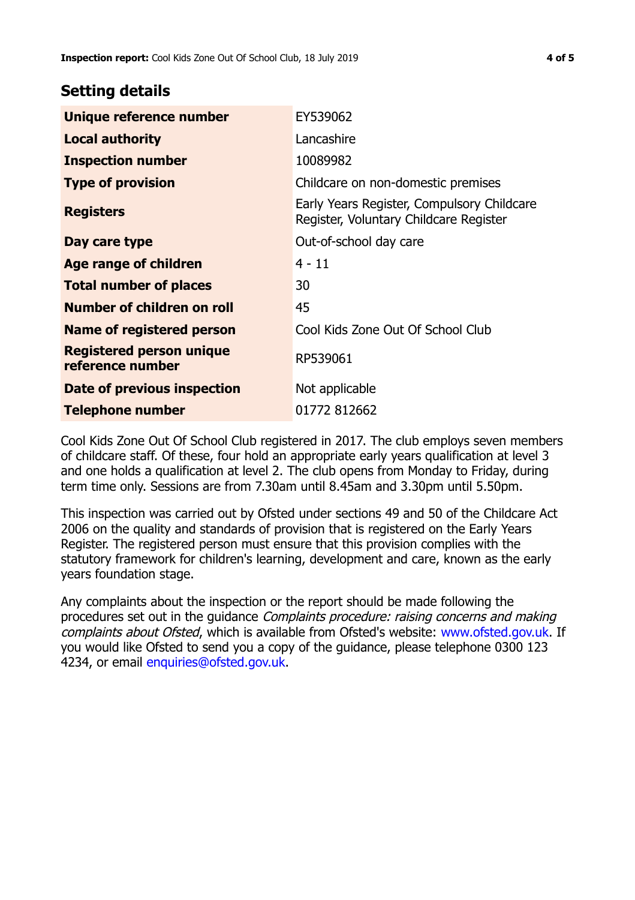## **Setting details**

| Unique reference number                             | EY539062                                                                             |
|-----------------------------------------------------|--------------------------------------------------------------------------------------|
| <b>Local authority</b>                              | Lancashire                                                                           |
| <b>Inspection number</b>                            | 10089982                                                                             |
| <b>Type of provision</b>                            | Childcare on non-domestic premises                                                   |
| <b>Registers</b>                                    | Early Years Register, Compulsory Childcare<br>Register, Voluntary Childcare Register |
| Day care type                                       | Out-of-school day care                                                               |
| Age range of children                               | $4 - 11$                                                                             |
| <b>Total number of places</b>                       | 30                                                                                   |
| Number of children on roll                          | 45                                                                                   |
| Name of registered person                           | Cool Kids Zone Out Of School Club                                                    |
| <b>Registered person unique</b><br>reference number | RP539061                                                                             |
| Date of previous inspection                         | Not applicable                                                                       |
| <b>Telephone number</b>                             | 01772 812662                                                                         |

Cool Kids Zone Out Of School Club registered in 2017. The club employs seven members of childcare staff. Of these, four hold an appropriate early years qualification at level 3 and one holds a qualification at level 2. The club opens from Monday to Friday, during term time only. Sessions are from 7.30am until 8.45am and 3.30pm until 5.50pm.

This inspection was carried out by Ofsted under sections 49 and 50 of the Childcare Act 2006 on the quality and standards of provision that is registered on the Early Years Register. The registered person must ensure that this provision complies with the statutory framework for children's learning, development and care, known as the early years foundation stage.

Any complaints about the inspection or the report should be made following the procedures set out in the quidance *Complaints procedure: raising concerns and making* complaints about Ofsted, which is available from Ofsted's website: www.ofsted.gov.uk. If you would like Ofsted to send you a copy of the guidance, please telephone 0300 123 4234, or email [enquiries@ofsted.gov.uk.](mailto:enquiries@ofsted.gov.uk)